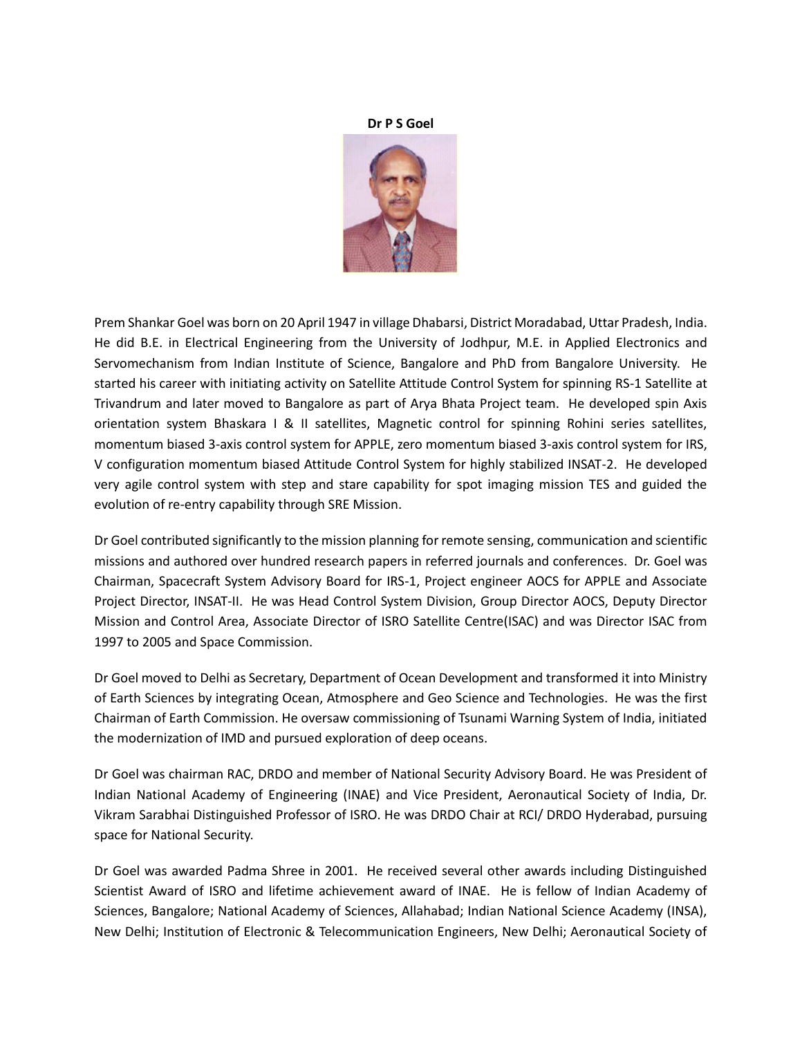## **Dr P S Goel**



Prem Shankar Goel was born on 20 April 1947 in village Dhabarsi, District Moradabad, Uttar Pradesh, India. He did B.E. in Electrical Engineering from the University of Jodhpur, M.E. in Applied Electronics and Servomechanism from Indian Institute of Science, Bangalore and PhD from Bangalore University. He started his career with initiating activity on Satellite Attitude Control System for spinning RS-1 Satellite at Trivandrum and later moved to Bangalore as part of Arya Bhata Project team. He developed spin Axis orientation system Bhaskara I & II satellites, Magnetic control for spinning Rohini series satellites, momentum biased 3-axis control system for APPLE, zero momentum biased 3-axis control system for IRS, V configuration momentum biased Attitude Control System for highly stabilized INSAT-2. He developed very agile control system with step and stare capability for spot imaging mission TES and guided the evolution of re-entry capability through SRE Mission.

Dr Goel contributed significantly to the mission planning for remote sensing, communication and scientific missions and authored over hundred research papers in referred journals and conferences. Dr. Goel was Chairman, Spacecraft System Advisory Board for IRS-1, Project engineer AOCS for APPLE and Associate Project Director, INSAT-II. He was Head Control System Division, Group Director AOCS, Deputy Director Mission and Control Area, Associate Director of ISRO Satellite Centre(ISAC) and was Director ISAC from 1997 to 2005 and Space Commission.

Dr Goel moved to Delhi as Secretary, Department of Ocean Development and transformed it into Ministry of Earth Sciences by integrating Ocean, Atmosphere and Geo Science and Technologies. He was the first Chairman of Earth Commission. He oversaw commissioning of Tsunami Warning System of India, initiated the modernization of IMD and pursued exploration of deep oceans.

Dr Goel was chairman RAC, DRDO and member of National Security Advisory Board. He was President of Indian National Academy of Engineering (INAE) and Vice President, Aeronautical Society of India, Dr. Vikram Sarabhai Distinguished Professor of ISRO. He was DRDO Chair at RCI/ DRDO Hyderabad, pursuing space for National Security.

Dr Goel was awarded Padma Shree in 2001. He received several other awards including Distinguished Scientist Award of ISRO and lifetime achievement award of INAE. He is fellow of Indian Academy of Sciences, Bangalore; National Academy of Sciences, Allahabad; Indian National Science Academy (INSA), New Delhi; Institution of Electronic & Telecommunication Engineers, New Delhi; Aeronautical Society of